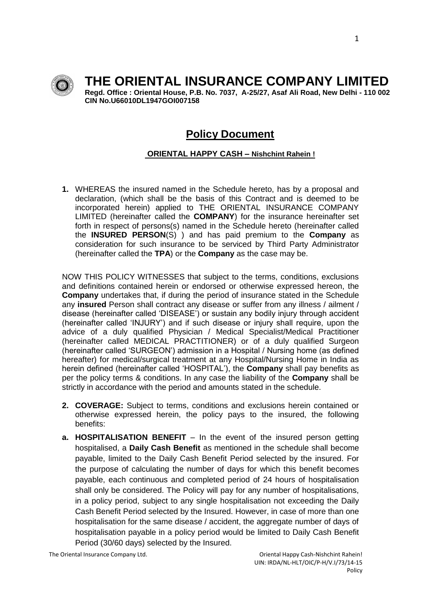

# **THE ORIENTAL INSURANCE COMPANY LIMITED**

**Regd. Office : Oriental House, P.B. No. 7037, A-25/27, Asaf Ali Road, New Delhi - 110 002 CIN No.U66010DL1947GOI007158**

## **Policy Document**

### **ORIENTAL HAPPY CASH – Nishchint Rahein !**

**1.** WHEREAS the insured named in the Schedule hereto, has by a proposal and declaration, (which shall be the basis of this Contract and is deemed to be incorporated herein) applied to THE ORIENTAL INSURANCE COMPANY LIMITED (hereinafter called the **COMPANY**) for the insurance hereinafter set forth in respect of persons(s) named in the Schedule hereto (hereinafter called the **INSURED PERSON**(S) ) and has paid premium to the **Company** as consideration for such insurance to be serviced by Third Party Administrator (hereinafter called the **TPA**) or the **Company** as the case may be.

NOW THIS POLICY WITNESSES that subject to the terms, conditions, exclusions and definitions contained herein or endorsed or otherwise expressed hereon, the **Company** undertakes that, if during the period of insurance stated in the Schedule any **insured** Person shall contract any disease or suffer from any illness / ailment / disease (hereinafter called 'DISEASE') or sustain any bodily injury through accident (hereinafter called 'INJURY') and if such disease or injury shall require, upon the advice of a duly qualified Physician / Medical Specialist/Medical Practitioner (hereinafter called MEDICAL PRACTITIONER) or of a duly qualified Surgeon (hereinafter called 'SURGEON') admission in a Hospital / Nursing home (as defined hereafter) for medical/surgical treatment at any Hospital/Nursing Home in India as herein defined (hereinafter called 'HOSPITAL'), the **Company** shall pay benefits as per the policy terms & conditions. In any case the liability of the **Company** shall be strictly in accordance with the period and amounts stated in the schedule.

- **2. COVERAGE:** Subject to terms, conditions and exclusions herein contained or otherwise expressed herein, the policy pays to the insured, the following benefits:
- **a. HOSPITALISATION BENEFIT** In the event of the insured person getting hospitalised, a **Daily Cash Benefit** as mentioned in the schedule shall become payable, limited to the Daily Cash Benefit Period selected by the insured. For the purpose of calculating the number of days for which this benefit becomes payable, each continuous and completed period of 24 hours of hospitalisation shall only be considered. The Policy will pay for any number of hospitalisations, in a policy period, subject to any single hospitalisation not exceeding the Daily Cash Benefit Period selected by the Insured. However, in case of more than one hospitalisation for the same disease / accident, the aggregate number of days of hospitalisation payable in a policy period would be limited to Daily Cash Benefit Period (30/60 days) selected by the Insured.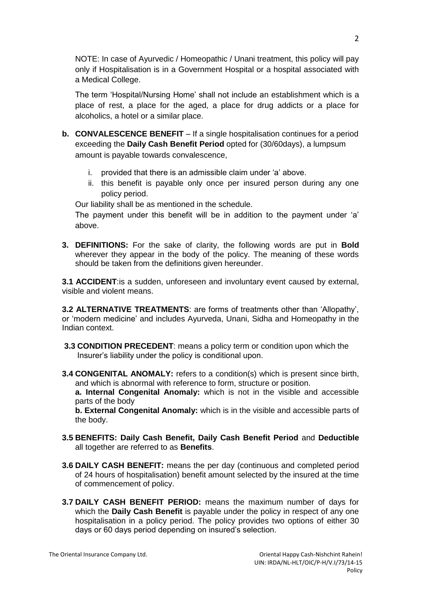NOTE: In case of Ayurvedic / Homeopathic / Unani treatment, this policy will pay only if Hospitalisation is in a Government Hospital or a hospital associated with a Medical College.

The term 'Hospital/Nursing Home' shall not include an establishment which is a place of rest, a place for the aged, a place for drug addicts or a place for alcoholics, a hotel or a similar place.

- **b. CONVALESCENCE BENEFIT** If a single hospitalisation continues for a period exceeding the **Daily Cash Benefit Period** opted for (30/60days), a lumpsum amount is payable towards convalescence,
	- i. provided that there is an admissible claim under 'a' above.
	- ii. this benefit is payable only once per insured person during any one policy period.

Our liability shall be as mentioned in the schedule.

The payment under this benefit will be in addition to the payment under 'a' above.

**3. DEFINITIONS:** For the sake of clarity, the following words are put in **Bold** wherever they appear in the body of the policy. The meaning of these words should be taken from the definitions given hereunder.

**3.1 ACCIDENT**:is a sudden, unforeseen and involuntary event caused by external, visible and violent means.

**3.2 ALTERNATIVE TREATMENTS**: are forms of treatments other than 'Allopathy', or 'modern medicine' and includes Ayurveda, Unani, Sidha and Homeopathy in the Indian context.

- **3.3 CONDITION PRECEDENT**: means a policy term or condition upon which the Insurer's liability under the policy is conditional upon.
- **3.4 CONGENITAL ANOMALY:** refers to a condition(s) which is present since birth, and which is abnormal with reference to form, structure or position.

**a. Internal Congenital Anomaly:** which is not in the visible and accessible parts of the body

**b. External Congenital Anomaly:** which is in the visible and accessible parts of the body.

- **3.5 BENEFITS: Daily Cash Benefit, Daily Cash Benefit Period** and **Deductible** all together are referred to as **Benefits**.
- **3.6 DAILY CASH BENEFIT:** means the per day (continuous and completed period of 24 hours of hospitalisation) benefit amount selected by the insured at the time of commencement of policy.
- **3.7 DAILY CASH BENEFIT PERIOD:** means the maximum number of days for which the **Daily Cash Benefit** is payable under the policy in respect of any one hospitalisation in a policy period. The policy provides two options of either 30 days or 60 days period depending on insured's selection.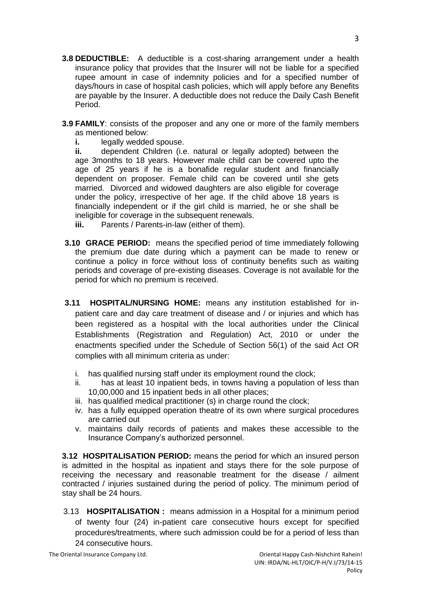- **3.8 DEDUCTIBLE:** A deductible is a cost-sharing arrangement under a health insurance policy that provides that the Insurer will not be liable for a specified rupee amount in case of indemnity policies and for a specified number of days/hours in case of hospital cash policies, which will apply before any Benefits are payable by the Insurer. A deductible does not reduce the Daily Cash Benefit Period.
- **3.9 FAMILY**: consists of the proposer and any one or more of the family members as mentioned below:
	- **i.** legally wedded spouse.

**ii.** dependent Children (i.e. natural or legally adopted) between the age 3months to 18 years. However male child can be covered upto the age of 25 years if he is a bonafide regular student and financially dependent on proposer. Female child can be covered until she gets married. Divorced and widowed daughters are also eligible for coverage under the policy, irrespective of her age. If the child above 18 years is financially independent or if the girl child is married, he or she shall be ineligible for coverage in the subsequent renewals.

- **iii.** Parents / Parents-in-law (either of them).
- **3.10 GRACE PERIOD:** means the specified period of time immediately following the premium due date during which a payment can be made to renew or continue a policy in force without loss of continuity benefits such as waiting periods and coverage of pre-existing diseases. Coverage is not available for the period for which no premium is received.
- **3.11 HOSPITAL/NURSING HOME:** means any institution established for inpatient care and day care treatment of disease and / or injuries and which has been registered as a hospital with the local authorities under the Clinical Establishments (Registration and Regulation) Act, 2010 or under the enactments specified under the Schedule of Section 56(1) of the said Act OR complies with all minimum criteria as under:
	- i. has qualified nursing staff under its employment round the clock;
	- ii. has at least 10 inpatient beds, in towns having a population of less than 10,00,000 and 15 inpatient beds in all other places;
	- iii. has qualified medical practitioner (s) in charge round the clock;
	- iv. has a fully equipped operation theatre of its own where surgical procedures are carried out
	- v. maintains daily records of patients and makes these accessible to the Insurance Company's authorized personnel.

**3.12 HOSPITALISATION PERIOD:** means the period for which an insured person is admitted in the hospital as inpatient and stays there for the sole purpose of receiving the necessary and reasonable treatment for the disease / ailment contracted / injuries sustained during the period of policy. The minimum period of stay shall be 24 hours.

 3.13 **HOSPITALISATION :** means admission in a Hospital for a minimum period of twenty four (24) in-patient care consecutive hours except for specified procedures/treatments, where such admission could be for a period of less than 24 consecutive hours.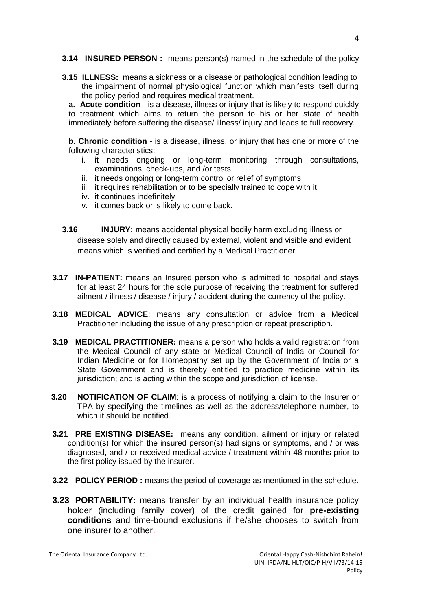**3.14 INSURED PERSON :** means person(s) named in the schedule of the policy

**3.15 ILLNESS:** means a sickness or a disease or pathological condition leading to the impairment of normal physiological function which manifests itself during the policy period and requires medical treatment.

**a. Acute condition** - is a disease, illness or injury that is likely to respond quickly to treatment which aims to return the person to his or her state of health immediately before suffering the disease/ illness/ injury and leads to full recovery.

**b. Chronic condition** - is a disease, illness, or injury that has one or more of the following characteristics:

- i. it needs ongoing or long-term monitoring through consultations, examinations, check-ups, and /or tests
- ii. it needs ongoing or long-term control or relief of symptoms
- iii. it requires rehabilitation or to be specially trained to cope with it
- iv. it continues indefinitely
- v. it comes back or is likely to come back.
- **3.16 INJURY:** means accidental physical bodily harm excluding illness or disease solely and directly caused by external, violent and visible and evident means which is verified and certified by a Medical Practitioner.
- **3.17 IN-PATIENT:** means an Insured person who is admitted to hospital and stays for at least 24 hours for the sole purpose of receiving the treatment for suffered ailment / illness / disease / injury / accident during the currency of the policy.
- **3.18 MEDICAL ADVICE**: means any consultation or advice from a Medical Practitioner including the issue of any prescription or repeat prescription.
- **3.19 MEDICAL PRACTITIONER:** means a person who holds a valid registration from the Medical Council of any state or Medical Council of India or Council for Indian Medicine or for Homeopathy set up by the Government of India or a State Government and is thereby entitled to practice medicine within its jurisdiction; and is acting within the scope and jurisdiction of license.
- **3.20 NOTIFICATION OF CLAIM**: is a process of notifying a claim to the Insurer or TPA by specifying the timelines as well as the address/telephone number, to which it should be notified.
- **3.21 PRE EXISTING DISEASE:** means any condition, ailment or injury or related condition(s) for which the insured person(s) had signs or symptoms, and / or was diagnosed, and / or received medical advice / treatment within 48 months prior to the first policy issued by the insurer.
- **3.22 POLICY PERIOD :** means the period of coverage as mentioned in the schedule.
- **3.23 PORTABILITY:** means transfer by an individual health insurance policy holder (including family cover) of the credit gained for **pre-existing conditions** and time-bound exclusions if he/she chooses to switch from one insurer to another.

The Oriental Insurance Company Ltd. **Case Company Ltd.** Oriental Happy Cash-Nishchint Rahein!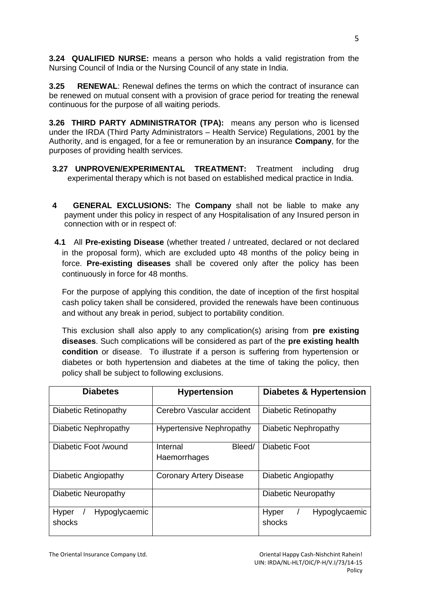**3.24 QUALIFIED NURSE:** means a person who holds a valid registration from the Nursing Council of India or the Nursing Council of any state in India.

**3.25 RENEWAL**: Renewal defines the terms on which the contract of insurance can be renewed on mutual consent with a provision of grace period for treating the renewal continuous for the purpose of all waiting periods.

**3.26 THIRD PARTY ADMINISTRATOR (TPA):** means any person who is licensed under the IRDA (Third Party Administrators – Health Service) Regulations, 2001 by the Authority, and is engaged, for a fee or remuneration by an insurance **Company**, for the purposes of providing health services.

- **3.27 UNPROVEN/EXPERIMENTAL TREATMENT:** Treatment including drug experimental therapy which is not based on established medical practice in India.
- **4 GENERAL EXCLUSIONS:** The **Company** shall not be liable to make any payment under this policy in respect of any Hospitalisation of any Insured person in connection with or in respect of:
- **4.1** All **Pre-existing Disease** (whether treated / untreated, declared or not declared in the proposal form), which are excluded upto 48 months of the policy being in force. **Pre-existing diseases** shall be covered only after the policy has been continuously in force for 48 months.

For the purpose of applying this condition, the date of inception of the first hospital cash policy taken shall be considered, provided the renewals have been continuous and without any break in period, subject to portability condition.

This exclusion shall also apply to any complication(s) arising from **pre existing diseases**. Such complications will be considered as part of the **pre existing health condition** or disease. To illustrate if a person is suffering from hypertension or diabetes or both hypertension and diabetes at the time of taking the policy, then policy shall be subject to following exclusions.

| <b>Diabetes</b>                         | <b>Hypertension</b>                | Diabetes & Hypertension          |
|-----------------------------------------|------------------------------------|----------------------------------|
| Diabetic Retinopathy                    | Cerebro Vascular accident          | Diabetic Retinopathy             |
| Diabetic Nephropathy                    | <b>Hypertensive Nephropathy</b>    | Diabetic Nephropathy             |
| Diabetic Foot /wound                    | Bleed/<br>Internal<br>Haemorrhages | Diabetic Foot                    |
| Diabetic Angiopathy                     | <b>Coronary Artery Disease</b>     | Diabetic Angiopathy              |
| Diabetic Neuropathy                     |                                    | Diabetic Neuropathy              |
| Hyper<br><b>Hypoglycaemic</b><br>shocks |                                    | Hyper<br>Hypoglycaemic<br>shocks |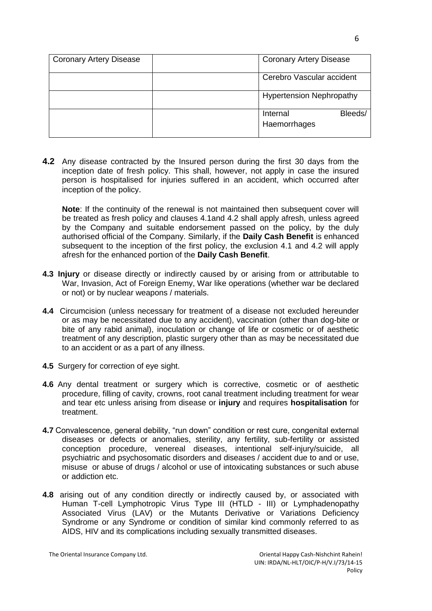| <b>Coronary Artery Disease</b> | <b>Coronary Artery Disease</b>      |  |
|--------------------------------|-------------------------------------|--|
|                                | Cerebro Vascular accident           |  |
|                                | <b>Hypertension Nephropathy</b>     |  |
|                                | Bleeds/<br>Internal<br>Haemorrhages |  |

**4.2** Any disease contracted by the Insured person during the first 30 days from the inception date of fresh policy. This shall, however, not apply in case the insured person is hospitalised for injuries suffered in an accident, which occurred after inception of the policy.

**Note**: If the continuity of the renewal is not maintained then subsequent cover will be treated as fresh policy and clauses 4.1and 4.2 shall apply afresh, unless agreed by the Company and suitable endorsement passed on the policy, by the duly authorised official of the Company. Similarly, if the **Daily Cash Benefit** is enhanced subsequent to the inception of the first policy, the exclusion 4.1 and 4.2 will apply afresh for the enhanced portion of the **Daily Cash Benefit**.

- **4.3 Injury** or disease directly or indirectly caused by or arising from or attributable to War, Invasion, Act of Foreign Enemy, War like operations (whether war be declared or not) or by nuclear weapons / materials.
- **4.4** Circumcision (unless necessary for treatment of a disease not excluded hereunder or as may be necessitated due to any accident), vaccination (other than dog-bite or bite of any rabid animal), inoculation or change of life or cosmetic or of aesthetic treatment of any description, plastic surgery other than as may be necessitated due to an accident or as a part of any illness.
- **4.5** Surgery for correction of eye sight.
- **4.6** Any dental treatment or surgery which is corrective, cosmetic or of aesthetic procedure, filling of cavity, crowns, root canal treatment including treatment for wear and tear etc unless arising from disease or **injury** and requires **hospitalisation** for treatment.
- **4.7** Convalescence, general debility, "run down" condition or rest cure, congenital external diseases or defects or anomalies, sterility, any fertility, sub-fertility or assisted conception procedure, venereal diseases, intentional self-injury/suicide, all psychiatric and psychosomatic disorders and diseases / accident due to and or use, misuse or abuse of drugs / alcohol or use of intoxicating substances or such abuse or addiction etc.
- **4.8** arising out of any condition directly or indirectly caused by, or associated with Human T-cell Lymphotropic Virus Type III (HTLD - III) or Lymphadenopathy Associated Virus (LAV) or the Mutants Derivative or Variations Deficiency Syndrome or any Syndrome or condition of similar kind commonly referred to as AIDS, HIV and its complications including sexually transmitted diseases.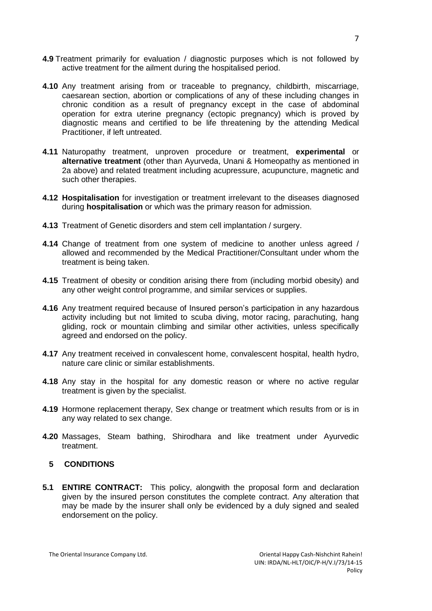- **4.9** Treatment primarily for evaluation / diagnostic purposes which is not followed by active treatment for the ailment during the hospitalised period.
- **4.10** Any treatment arising from or traceable to pregnancy, childbirth, miscarriage, caesarean section, abortion or complications of any of these including changes in chronic condition as a result of pregnancy except in the case of abdominal operation for extra uterine pregnancy (ectopic pregnancy) which is proved by diagnostic means and certified to be life threatening by the attending Medical Practitioner, if left untreated.
- **4.11** Naturopathy treatment, unproven procedure or treatment, **experimental** or **alternative treatment** (other than Ayurveda, Unani & Homeopathy as mentioned in 2a above) and related treatment including acupressure, acupuncture, magnetic and such other therapies.
- **4.12 Hospitalisation** for investigation or treatment irrelevant to the diseases diagnosed during **hospitalisation** or which was the primary reason for admission.
- **4.13** Treatment of Genetic disorders and stem cell implantation / surgery.
- **4.14** Change of treatment from one system of medicine to another unless agreed / allowed and recommended by the Medical Practitioner/Consultant under whom the treatment is being taken.
- **4.15** Treatment of obesity or condition arising there from (including morbid obesity) and any other weight control programme, and similar services or supplies.
- **4.16** Any treatment required because of Insured person's participation in any hazardous activity including but not limited to scuba diving, motor racing, parachuting, hang gliding, rock or mountain climbing and similar other activities, unless specifically agreed and endorsed on the policy.
- **4.17** Any treatment received in convalescent home, convalescent hospital, health hydro, nature care clinic or similar establishments.
- **4.18** Any stay in the hospital for any domestic reason or where no active regular treatment is given by the specialist.
- **4.19** Hormone replacement therapy, Sex change or treatment which results from or is in any way related to sex change.
- **4.20** Massages, Steam bathing, Shirodhara and like treatment under Ayurvedic treatment.

## **5 CONDITIONS**

**5.1 ENTIRE CONTRACT:** This policy, alongwith the proposal form and declaration given by the insured person constitutes the complete contract. Any alteration that may be made by the insurer shall only be evidenced by a duly signed and sealed endorsement on the policy.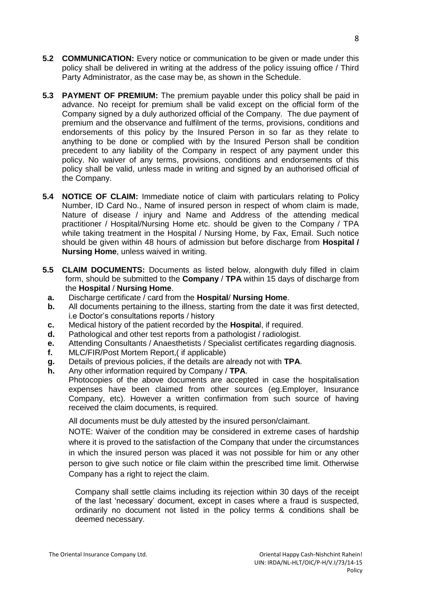- **5.2 COMMUNICATION:** Every notice or communication to be given or made under this policy shall be delivered in writing at the address of the policy issuing office / Third Party Administrator, as the case may be, as shown in the Schedule.
- **5.3 PAYMENT OF PREMIUM:** The premium payable under this policy shall be paid in advance. No receipt for premium shall be valid except on the official form of the Company signed by a duly authorized official of the Company. The due payment of premium and the observance and fulfilment of the terms, provisions, conditions and endorsements of this policy by the Insured Person in so far as they relate to anything to be done or complied with by the Insured Person shall be condition precedent to any liability of the Company in respect of any payment under this policy. No waiver of any terms, provisions, conditions and endorsements of this policy shall be valid, unless made in writing and signed by an authorised official of the Company.
- **5.4 NOTICE OF CLAIM:** Immediate notice of claim with particulars relating to Policy Number, ID Card No., Name of insured person in respect of whom claim is made, Nature of disease / injury and Name and Address of the attending medical practitioner / Hospital/Nursing Home etc. should be given to the Company / TPA while taking treatment in the Hospital / Nursing Home, by Fax, Email. Such notice should be given within 48 hours of admission but before discharge from **Hospital / Nursing Home**, unless waived in writing.
- **5.5 CLAIM DOCUMENTS:** Documents as listed below, alongwith duly filled in claim form, should be submitted to the **Company** / **TPA** within 15 days of discharge from the **Hospital** / **Nursing Home**.
	- **a.** Discharge certificate / card from the **Hospital**/ **Nursing Home**.
	- **b.** All documents pertaining to the illness, starting from the date it was first detected, i.e Doctor's consultations reports / history
	- **c.** Medical history of the patient recorded by the **Hospita**l, if required.
	- **d.** Pathological and other test reports from a pathologist / radiologist.
	- **e.** Attending Consultants / Anaesthetists / Specialist certificates regarding diagnosis.
	- **f.** MLC/FIR/Post Mortem Report,( if applicable)
	- **g.** Details of previous policies, if the details are already not with **TPA**.
	- **h.** Any other information required by Company / **TPA**.

Photocopies of the above documents are accepted in case the hospitalisation expenses have been claimed from other sources (eg.Employer, Insurance Company, etc). However a written confirmation from such source of having received the claim documents, is required.

All documents must be duly attested by the insured person/claimant.

NOTE: Waiver of the condition may be considered in extreme cases of hardship where it is proved to the satisfaction of the Company that under the circumstances in which the insured person was placed it was not possible for him or any other person to give such notice or file claim within the prescribed time limit. Otherwise Company has a right to reject the claim.

Company shall settle claims including its rejection within 30 days of the receipt of the last 'necessary' document, except in cases where a fraud is suspected, ordinarily no document not listed in the policy terms & conditions shall be deemed necessary.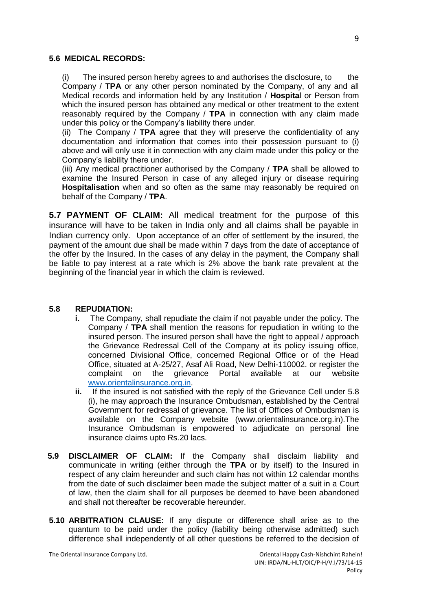#### **5.6 MEDICAL RECORDS:**

(i) The insured person hereby agrees to and authorises the disclosure, to the Company / **TPA** or any other person nominated by the Company, of any and all Medical records and information held by any Institution / **Hospita**l or Person from which the insured person has obtained any medical or other treatment to the extent reasonably required by the Company / **TPA** in connection with any claim made under this policy or the Company's liability there under.

(ii) The Company / **TPA** agree that they will preserve the confidentiality of any documentation and information that comes into their possession pursuant to (i) above and will only use it in connection with any claim made under this policy or the Company's liability there under.

(iii) Any medical practitioner authorised by the Company / **TPA** shall be allowed to examine the Insured Person in case of any alleged injury or disease requiring **Hospitalisation** when and so often as the same may reasonably be required on behalf of the Company / **TPA**.

**5.7 PAYMENT OF CLAIM:** All medical treatment for the purpose of this insurance will have to be taken in India only and all claims shall be payable in Indian currency only. Upon acceptance of an offer of settlement by the insured, the payment of the amount due shall be made within 7 days from the date of acceptance of the offer by the Insured. In the cases of any delay in the payment, the Company shall be liable to pay interest at a rate which is 2% above the bank rate prevalent at the beginning of the financial year in which the claim is reviewed.

#### **5.8 REPUDIATION:**

- **i.** The Company, shall repudiate the claim if not payable under the policy. The Company / **TPA** shall mention the reasons for repudiation in writing to the insured person. The insured person shall have the right to appeal / approach the Grievance Redressal Cell of the Company at its policy issuing office, concerned Divisional Office, concerned Regional Office or of the Head Office, situated at A-25/27, Asaf Ali Road, New Delhi-110002. or register the complaint on the grievance Portal available at our website [www.orientalinsurance.org.in.](http://www.orientalinsurance.org.in/)
- **ii.** If the insured is not satisfied with the reply of the Grievance Cell under 5.8 (i), he may approach the Insurance Ombudsman, established by the Central Government for redressal of grievance. The list of Offices of Ombudsman is available on the Company website (www.orientalinsurance.org.in).The Insurance Ombudsman is empowered to adjudicate on personal line insurance claims upto Rs.20 lacs.
- **5.9 DISCLAIMER OF CLAIM:** If the Company shall disclaim liability and communicate in writing (either through the **TPA** or by itself) to the Insured in respect of any claim hereunder and such claim has not within 12 calendar months from the date of such disclaimer been made the subject matter of a suit in a Court of law, then the claim shall for all purposes be deemed to have been abandoned and shall not thereafter be recoverable hereunder.
- **5.10 ARBITRATION CLAUSE:** If any dispute or difference shall arise as to the quantum to be paid under the policy (liability being otherwise admitted) such difference shall independently of all other questions be referred to the decision of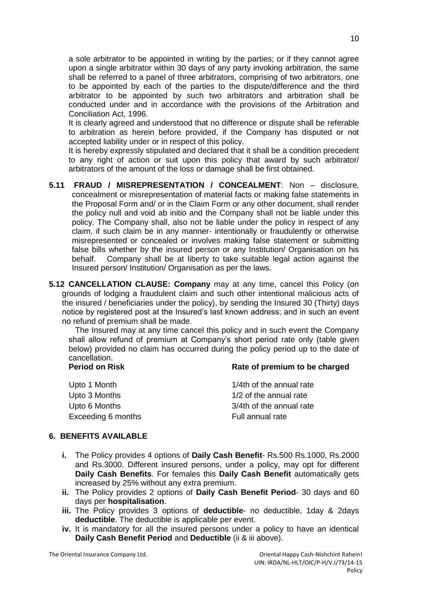a sole arbitrator to be appointed in writing by the parties; or if they cannot agree upon a single arbitrator within 30 days of any party invoking arbitration, the same shall be referred to a panel of three arbitrators, comprising of two arbitrators, one to be appointed by each of the parties to the dispute/difference and the third arbitrator to be appointed by such two arbitrators and arbitration shall be conducted under and in accordance with the provisions of the Arbitration and Conciliation Act, 1996.

It is clearly agreed and understood that no difference or dispute shall be referable to arbitration as herein before provided, if the Company has disputed or not accepted liability under or in respect of this policy.

It is hereby expressly stipulated and declared that it shall be a condition precedent to any right of action or suit upon this policy that award by such arbitrator/ arbitrators of the amount of the loss or damage shall be first obtained.

- **5.11 FRAUD / MISREPRESENTATION / CONCEALMENT**: Non disclosure, concealment or misrepresentation of material facts or making false statements in the Proposal Form and/ or in the Claim Form or any other document, shall render the policy null and void ab initio and the Company shall not be liable under this policy. The Company shall, also not be liable under the policy in respect of any claim, if such claim be in any manner- intentionally or fraudulently or otherwise misrepresented or concealed or involves making false statement or submitting false bills whether by the insured person or any Institution/ Organisation on his behalf. Company shall be at liberty to take suitable legal action against the Insured person/ Institution/ Organisation as per the laws.
- **5.12 CANCELLATION CLAUSE: Company** may at any time, cancel this Policy (on grounds of lodging a fraudulent claim and such other intentional malicious acts of the insured / beneficiaries under the policy), by sending the Insured 30 (Thirty) days notice by registered post at the Insured's last known address; and in such an event no refund of premium shall be made.

The Insured may at any time cancel this policy and in such event the Company shall allow refund of premium at Company's short period rate only (table given below) provided no claim has occurred during the policy period up to the date of cancellation. **Period on Risk Communist Rate of premium to be charged** 

| Upto 1 Month       | 1/4th of the annual rate |
|--------------------|--------------------------|
| Upto 3 Months      | 1/2 of the annual rate   |
| Upto 6 Months      | 3/4th of the annual rate |
| Exceeding 6 months | Full annual rate         |

#### **6. BENEFITS AVAILABLE**

- **i.** The Policy provides 4 options of **Daily Cash Benefit** Rs.500 Rs.1000, Rs.2000 and Rs.3000. Different insured persons, under a policy, may opt for different **Daily Cash Benefits**. For females this **Daily Cash Benefit** automatically gets increased by 25% without any extra premium.
- **ii.** The Policy provides 2 options of **Daily Cash Benefit Period** 30 days and 60 days per **hospitalisation**.
- **iii.** The Policy provides 3 options of **deductible** no deductible, 1day & 2days **deductible**. The deductible is applicable per event.
- **iv.** It is mandatory for all the insured persons under a policy to have an identical **Daily Cash Benefit Period** and **Deductible** (ii & iii above).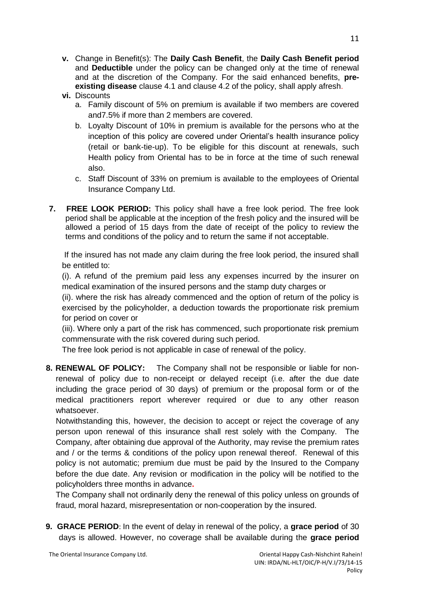- **v.** Change in Benefit(s): The **Daily Cash Benefit**, the **Daily Cash Benefit period**  and **Deductible** under the policy can be changed only at the time of renewal and at the discretion of the Company. For the said enhanced benefits, **preexisting disease** clause 4.1 and clause 4.2 of the policy, shall apply afresh.
- **vi.** Discounts
	- a. Family discount of 5% on premium is available if two members are covered and7.5% if more than 2 members are covered.
	- b. Loyalty Discount of 10% in premium is available for the persons who at the inception of this policy are covered under Oriental's health insurance policy (retail or bank-tie-up). To be eligible for this discount at renewals, such Health policy from Oriental has to be in force at the time of such renewal also.
	- c. Staff Discount of 33% on premium is available to the employees of Oriental Insurance Company Ltd.
- **7. FREE LOOK PERIOD:** This policy shall have a free look period. The free look period shall be applicable at the inception of the fresh policy and the insured will be allowed a period of 15 days from the date of receipt of the policy to review the terms and conditions of the policy and to return the same if not acceptable.

If the insured has not made any claim during the free look period, the insured shall be entitled to:

(i). A refund of the premium paid less any expenses incurred by the insurer on medical examination of the insured persons and the stamp duty charges or

(ii). where the risk has already commenced and the option of return of the policy is exercised by the policyholder, a deduction towards the proportionate risk premium for period on cover or

(iii). Where only a part of the risk has commenced, such proportionate risk premium commensurate with the risk covered during such period.

The free look period is not applicable in case of renewal of the policy.

**8. RENEWAL OF POLICY:** The Company shall not be responsible or liable for nonrenewal of policy due to non-receipt or delayed receipt (i.e. after the due date including the grace period of 30 days) of premium or the proposal form or of the medical practitioners report wherever required or due to any other reason whatsoever.

Notwithstanding this, however, the decision to accept or reject the coverage of any person upon renewal of this insurance shall rest solely with the Company. The Company, after obtaining due approval of the Authority, may revise the premium rates and / or the terms & conditions of the policy upon renewal thereof. Renewal of this policy is not automatic; premium due must be paid by the Insured to the Company before the due date. Any revision or modification in the policy will be notified to the policyholders three months in advance**.**

The Company shall not ordinarily deny the renewal of this policy unless on grounds of fraud, moral hazard, misrepresentation or non-cooperation by the insured.

**9. GRACE PERIOD**: In the event of delay in renewal of the policy, a **grace period** of 30 days is allowed. However, no coverage shall be available during the **grace period**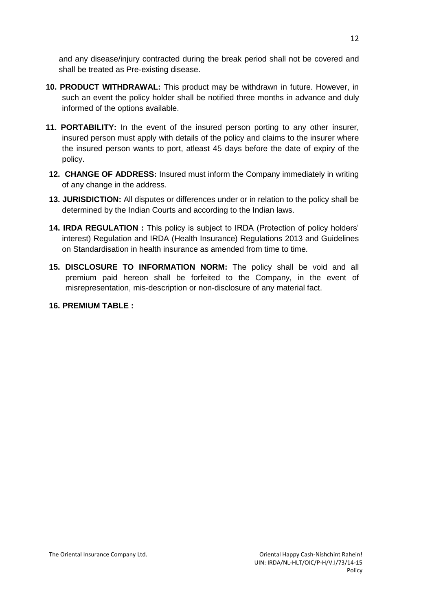and any disease/injury contracted during the break period shall not be covered and shall be treated as Pre-existing disease.

- **10. PRODUCT WITHDRAWAL:** This product may be withdrawn in future. However, in such an event the policy holder shall be notified three months in advance and duly informed of the options available.
- **11. PORTABILITY:** In the event of the insured person porting to any other insurer, insured person must apply with details of the policy and claims to the insurer where the insured person wants to port, atleast 45 days before the date of expiry of the policy.
- **12. CHANGE OF ADDRESS:** Insured must inform the Company immediately in writing of any change in the address.
- **13. JURISDICTION:** All disputes or differences under or in relation to the policy shall be determined by the Indian Courts and according to the Indian laws.
- **14. IRDA REGULATION :** This policy is subject to IRDA (Protection of policy holders' interest) Regulation and IRDA (Health Insurance) Regulations 2013 and Guidelines on Standardisation in health insurance as amended from time to time.
- **15. DISCLOSURE TO INFORMATION NORM:** The policy shall be void and all premium paid hereon shall be forfeited to the Company, in the event of misrepresentation, mis-description or non-disclosure of any material fact.

### **16. PREMIUM TABLE :**